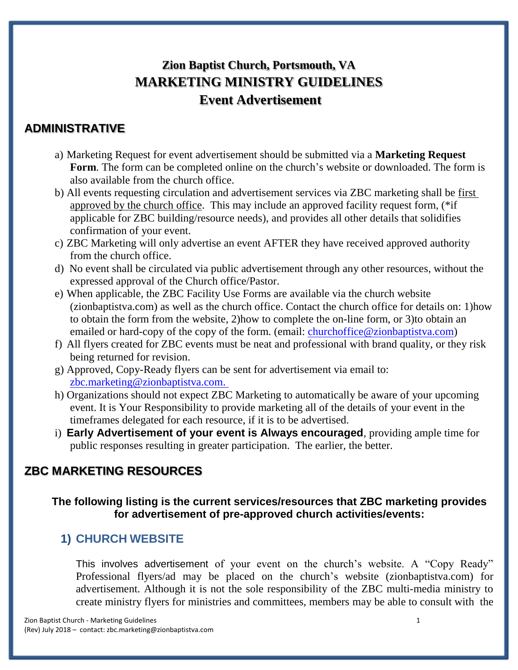# **Zion Baptist Church, Portsmouth, VA MARKETING MINISTRY GUIDELINES Event Advertisement**

### **ADMINISTRATIVE**

- a) Marketing Request for event advertisement should be submitted via a **Marketing Request Form**. The form can be completed online on the church's website or downloaded. The form is also available from the church office.
- b) All events requesting circulation and advertisement services via ZBC marketing shall be first approved by the church office. This may include an approved facility request form, (\*if applicable for ZBC building/resource needs), and provides all other details that solidifies confirmation of your event.
- c) ZBC Marketing will only advertise an event AFTER they have received approved authority from the church office.
- d) No event shall be circulated via public advertisement through any other resources, without the expressed approval of the Church office/Pastor.
- e) When applicable, the ZBC Facility Use Forms are available via the church website (zionbaptistva.com) as well as the church office. Contact the church office for details on: 1)how to obtain the form from the website, 2)how to complete the on-line form, or 3)to obtain an emailed or hard-copy of the copy of the form. (email: [churchoffice@zionbaptistva.com\)](mailto:churchoffice@zionbaptistva.com)
- f) All flyers created for ZBC events must be neat and professional with brand quality, or they risk being returned for revision.
- g) Approved, Copy-Ready flyers can be sent for advertisement via email to: [zbc.marketing@zionbaptistva.com.](mailto:zbc.marketing@zionbaptistva.com)
- h) Organizations should not expect ZBC Marketing to automatically be aware of your upcoming event. It is Your Responsibility to provide marketing all of the details of your event in the timeframes delegated for each resource, if it is to be advertised.
- i) **Early Advertisement of your event is Always encouraged**, providing ample time for public responses resulting in greater participation. The earlier, the better.

# **ZBC MARKETING RESOURCES**

#### **The following listing is the current services/resources that ZBC marketing provides for advertisement of pre-approved church activities/events:**

### **1) CHURCH WEBSITE**

This involves advertisement of your event on the church's website. A "Copy Ready" Professional flyers/ad may be placed on the church's website (zionbaptistva.com) for advertisement. Although it is not the sole responsibility of the ZBC multi-media ministry to create ministry flyers for ministries and committees, members may be able to consult with the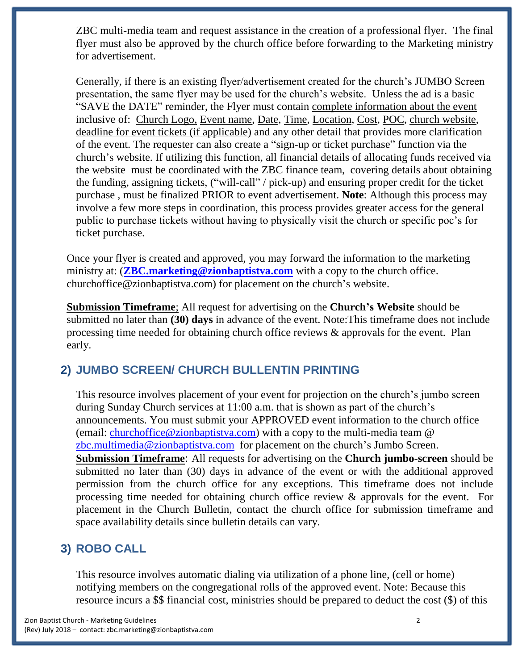ZBC multi-media team and request assistance in the creation of a professional flyer. The final flyer must also be approved by the church office before forwarding to the Marketing ministry for advertisement.

Generally, if there is an existing flyer/advertisement created for the church's JUMBO Screen presentation, the same flyer may be used for the church's website. Unless the ad is a basic "SAVE the DATE" reminder, the Flyer must contain complete information about the event inclusive of: Church Logo, Event name, Date, Time, Location, Cost, POC, church website, deadline for event tickets (if applicable) and any other detail that provides more clarification of the event. The requester can also create a "sign-up or ticket purchase" function via the church's website. If utilizing this function, all financial details of allocating funds received via the website must be coordinated with the ZBC finance team, covering details about obtaining the funding, assigning tickets, ("will-call" / pick-up) and ensuring proper credit for the ticket purchase , must be finalized PRIOR to event advertisement. **Note**: Although this process may involve a few more steps in coordination, this process provides greater access for the general public to purchase tickets without having to physically visit the church or specific poc's for ticket purchase.

Once your flyer is created and approved, you may forward the information to the marketing ministry at: (**[ZBC.marketing@zionbaptistva.com](mailto:ZBC.marketing@zionbaptistva.com)** with a copy to the church office. churchoffice@zionbaptistva.com) for placement on the church's website.

**Submission Timeframe**; All request for advertising on the **Church's Website** should be submitted no later than **(30) days** in advance of the event. Note:This timeframe does not include processing time needed for obtaining church office reviews & approvals for the event. Plan early.

### **2) JUMBO SCREEN/ CHURCH BULLENTIN PRINTING**

This resource involves placement of your event for projection on the church's jumbo screen during Sunday Church services at 11:00 a.m. that is shown as part of the church's announcements. You must submit your APPROVED event information to the church office (email: [churchoffice@zionbaptistva.com\)](mailto:churchoffice@zionbaptistva.com) with a copy to the multi-media team @ [zbc.multimedia@zionbaptistva.com](mailto:zbc.multimedia@zionbaptistva.com) for placement on the church's Jumbo Screen. **Submission Timeframe**: All requests for advertising on the **Church jumbo-screen** should be submitted no later than (30) days in advance of the event or with the additional approved permission from the church office for any exceptions. This timeframe does not include processing time needed for obtaining church office review & approvals for the event. For placement in the Church Bulletin, contact the church office for submission timeframe and space availability details since bulletin details can vary.

# **3) ROBO CALL**

This resource involves automatic dialing via utilization of a phone line, (cell or home) notifying members on the congregational rolls of the approved event. Note: Because this resource incurs a \$\$ financial cost, ministries should be prepared to deduct the cost (\$) of this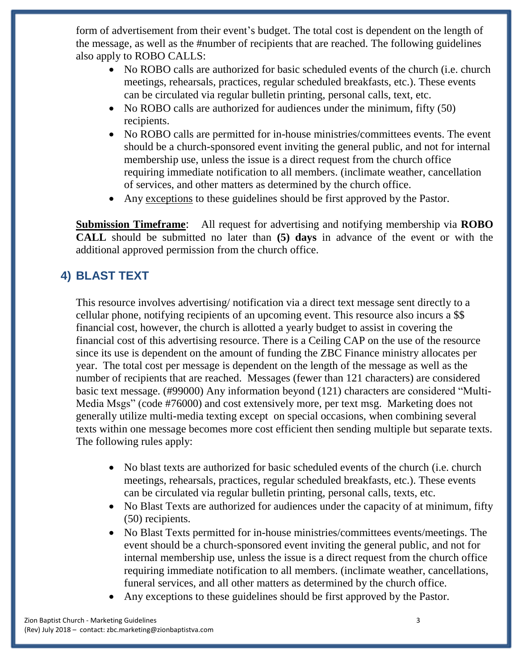form of advertisement from their event's budget. The total cost is dependent on the length of the message, as well as the #number of recipients that are reached. The following guidelines also apply to ROBO CALLS:

- No ROBO calls are authorized for basic scheduled events of the church (i.e. church meetings, rehearsals, practices, regular scheduled breakfasts, etc.). These events can be circulated via regular bulletin printing, personal calls, text, etc.
- No ROBO calls are authorized for audiences under the minimum, fifty (50) recipients.
- No ROBO calls are permitted for in-house ministries/committees events. The event should be a church-sponsored event inviting the general public, and not for internal membership use, unless the issue is a direct request from the church office requiring immediate notification to all members. (inclimate weather, cancellation of services, and other matters as determined by the church office.
- Any exceptions to these guidelines should be first approved by the Pastor.

**Submission Timeframe**: All request for advertising and notifying membership via **ROBO CALL** should be submitted no later than **(5) days** in advance of the event or with the additional approved permission from the church office.

# **4) BLAST TEXT**

This resource involves advertising/ notification via a direct text message sent directly to a cellular phone, notifying recipients of an upcoming event. This resource also incurs a \$\$ financial cost, however, the church is allotted a yearly budget to assist in covering the financial cost of this advertising resource. There is a Ceiling CAP on the use of the resource since its use is dependent on the amount of funding the ZBC Finance ministry allocates per year. The total cost per message is dependent on the length of the message as well as the number of recipients that are reached. Messages (fewer than 121 characters) are considered basic text message. (#99000) Any information beyond (121) characters are considered "Multi-Media Msgs" (code #76000) and cost extensively more, per text msg. Marketing does not generally utilize multi-media texting except on special occasions, when combining several texts within one message becomes more cost efficient then sending multiple but separate texts. The following rules apply:

- No blast texts are authorized for basic scheduled events of the church (i.e. church meetings, rehearsals, practices, regular scheduled breakfasts, etc.). These events can be circulated via regular bulletin printing, personal calls, texts, etc.
- No Blast Texts are authorized for audiences under the capacity of at minimum, fifty (50) recipients.
- No Blast Texts permitted for in-house ministries/committees events/meetings. The event should be a church-sponsored event inviting the general public, and not for internal membership use, unless the issue is a direct request from the church office requiring immediate notification to all members. (inclimate weather, cancellations, funeral services, and all other matters as determined by the church office.
- Any exceptions to these guidelines should be first approved by the Pastor.